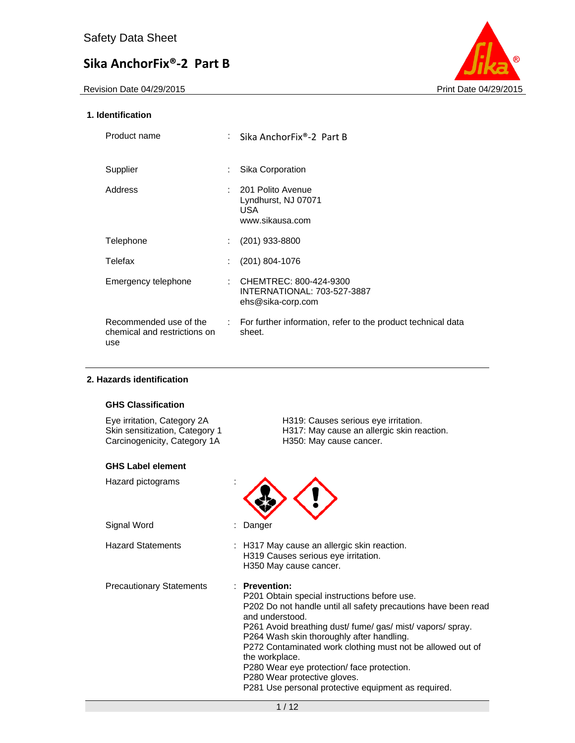Revision Date 04/29/2015 **Print Date 04/29/2015** Print Date 04/29/2015



## **1. Identification**

| Product name                                                  |                             | : Sika AnchorFix®-2 Part B                                                 |
|---------------------------------------------------------------|-----------------------------|----------------------------------------------------------------------------|
| Supplier                                                      | ÷.                          | Sika Corporation                                                           |
| Address                                                       | t.                          | 201 Polito Avenue<br>Lyndhurst, NJ 07071<br>USA.<br>www.sikausa.com        |
| Telephone                                                     |                             | $(201)$ 933-8800                                                           |
| Telefax                                                       |                             | (201) 804-1076                                                             |
| Emergency telephone                                           | ÷.                          | CHEMTREC: 800-424-9300<br>INTERNATIONAL: 703-527-3887<br>ehs@sika-corp.com |
| Recommended use of the<br>chemical and restrictions on<br>use | $\mathcal{L}^{\mathcal{L}}$ | For further information, refer to the product technical data<br>sheet.     |

## **2. Hazards identification**

## **GHS Classification**

Carcinogenicity, Category 1A H350: May cause cancer.

#### **GHS Label element**

Hazard pictograms :

Signal Word : Danger

Eye irritation, Category 2A H319: Causes serious eye irritation. Skin sensitization, Category 1 H317: May cause an allergic skin reaction.



Hazard Statements : H317 May cause an allergic skin reaction. H319 Causes serious eye irritation. H350 May cause cancer.

Precautionary Statements : **Prevention:** 

P201 Obtain special instructions before use. P202 Do not handle until all safety precautions have been read and understood. P261 Avoid breathing dust/ fume/ gas/ mist/ vapors/ spray. P264 Wash skin thoroughly after handling. P272 Contaminated work clothing must not be allowed out of the workplace. P280 Wear eye protection/ face protection. P280 Wear protective gloves. P281 Use personal protective equipment as required.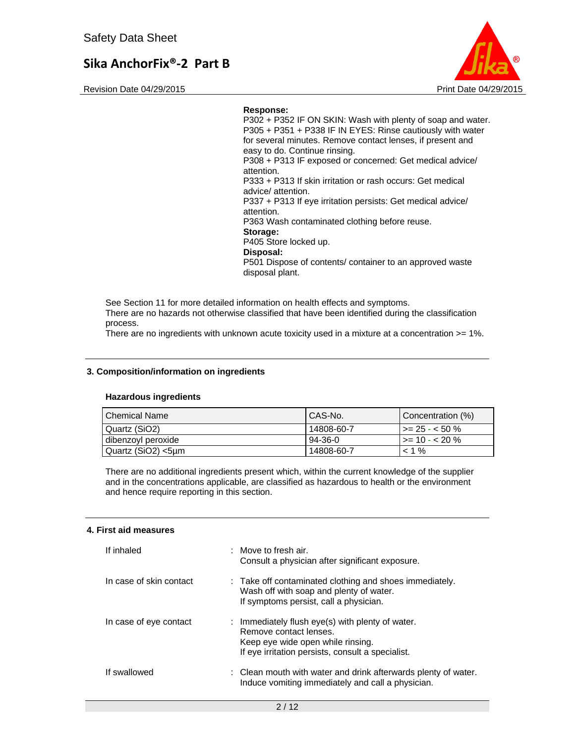Revision Date 04/29/2015 **Print Date 04/29/2015** Print Date 04/29/2015



#### **Response:**

P302 + P352 IF ON SKIN: Wash with plenty of soap and water. P305 + P351 + P338 IF IN EYES: Rinse cautiously with water for several minutes. Remove contact lenses, if present and easy to do. Continue rinsing. P308 + P313 IF exposed or concerned: Get medical advice/ attention. P333 + P313 If skin irritation or rash occurs: Get medical advice/ attention. P337 + P313 If eye irritation persists: Get medical advice/ attention. P363 Wash contaminated clothing before reuse. **Storage:**  P405 Store locked up. **Disposal:**  P501 Dispose of contents/ container to an approved waste

disposal plant.

See Section 11 for more detailed information on health effects and symptoms. There are no hazards not otherwise classified that have been identified during the classification process.

There are no ingredients with unknown acute toxicity used in a mixture at a concentration >= 1%.

## **3. Composition/information on ingredients**

#### **Hazardous ingredients**

| l Chemical Name    | CAS-No.    | Concentration (%)   |
|--------------------|------------|---------------------|
| Quartz (SiO2)      | 14808-60-7 | $\ge$ 25 - < 50 %   |
| dibenzoyl peroxide | $94-36-0$  | $\ge$ = 10 - < 20 % |
| Quartz (SiO2) <5µm | 14808-60-7 | $< 1 \%$            |

There are no additional ingredients present which, within the current knowledge of the supplier and in the concentrations applicable, are classified as hazardous to health or the environment and hence require reporting in this section.

#### **4. First aid measures**

| If inhaled              | : Move to fresh air.<br>Consult a physician after significant exposure.                                                                                              |
|-------------------------|----------------------------------------------------------------------------------------------------------------------------------------------------------------------|
| In case of skin contact | : Take off contaminated clothing and shoes immediately.<br>Wash off with soap and plenty of water.<br>If symptoms persist, call a physician.                         |
| In case of eye contact  | : Immediately flush eye(s) with plenty of water.<br>Remove contact lenses.<br>Keep eye wide open while rinsing.<br>If eye irritation persists, consult a specialist. |
| If swallowed            | : Clean mouth with water and drink afterwards plenty of water.<br>Induce vomiting immediately and call a physician.                                                  |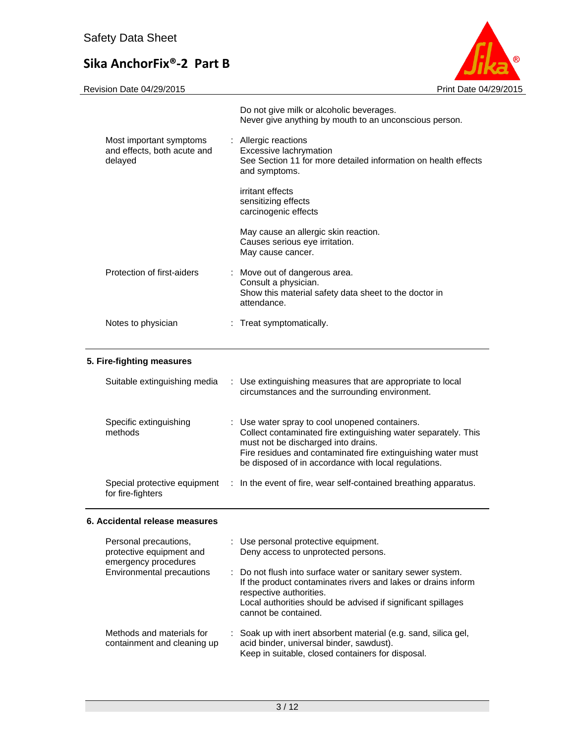

Revision Date 04/29/2015 **Print Date 04/29/2015** 

|                                                                   | Do not give milk or alcoholic beverages.<br>Never give anything by mouth to an unconscious person.                                |
|-------------------------------------------------------------------|-----------------------------------------------------------------------------------------------------------------------------------|
| Most important symptoms<br>and effects, both acute and<br>delayed | : Allergic reactions<br>Excessive lachrymation<br>See Section 11 for more detailed information on health effects<br>and symptoms. |
|                                                                   | irritant effects<br>sensitizing effects<br>carcinogenic effects                                                                   |
|                                                                   | May cause an allergic skin reaction.<br>Causes serious eye irritation.<br>May cause cancer.                                       |
| Protection of first-aiders                                        | : Move out of dangerous area.<br>Consult a physician.<br>Show this material safety data sheet to the doctor in<br>attendance.     |
| Notes to physician                                                | : Treat symptomatically.                                                                                                          |

# **5. Fire-fighting measures**

| Suitable extinguishing media                      | : Use extinguishing measures that are appropriate to local<br>circumstances and the surrounding environment.                                                                                                                                                                    |
|---------------------------------------------------|---------------------------------------------------------------------------------------------------------------------------------------------------------------------------------------------------------------------------------------------------------------------------------|
| Specific extinguishing<br>methods                 | : Use water spray to cool unopened containers.<br>Collect contaminated fire extinguishing water separately. This<br>must not be discharged into drains.<br>Fire residues and contaminated fire extinguishing water must<br>be disposed of in accordance with local regulations. |
| Special protective equipment<br>for fire-fighters | : In the event of fire, wear self-contained breathing apparatus.                                                                                                                                                                                                                |

# **6. Accidental release measures**

| Personal precautions,<br>protective equipment and<br>emergency procedures | : Use personal protective equipment.<br>Deny access to unprotected persons.                                                                                                                                                                     |
|---------------------------------------------------------------------------|-------------------------------------------------------------------------------------------------------------------------------------------------------------------------------------------------------------------------------------------------|
| Environmental precautions                                                 | : Do not flush into surface water or sanitary sewer system.<br>If the product contaminates rivers and lakes or drains inform<br>respective authorities.<br>Local authorities should be advised if significant spillages<br>cannot be contained. |
| Methods and materials for<br>containment and cleaning up                  | : Soak up with inert absorbent material (e.g. sand, silica gel,<br>acid binder, universal binder, sawdust).<br>Keep in suitable, closed containers for disposal.                                                                                |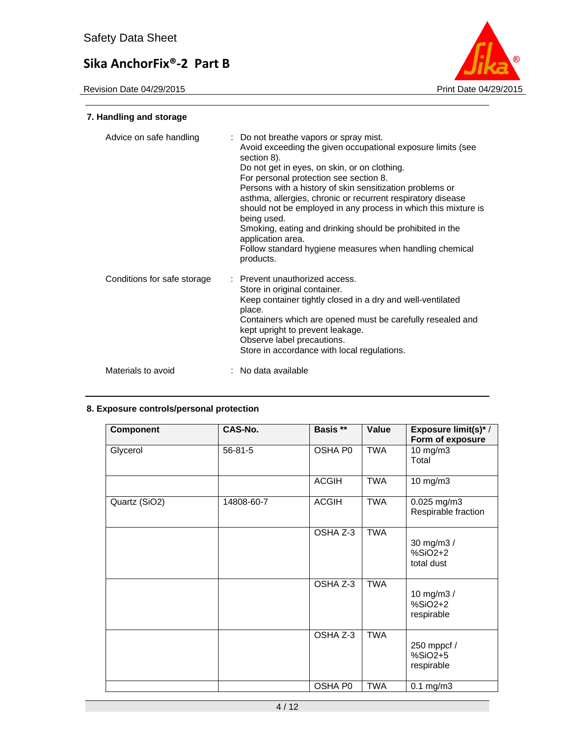Revision Date 04/29/2015



# **7. Handling and storage**

| Advice on safe handling     | : Do not breathe vapors or spray mist.<br>Avoid exceeding the given occupational exposure limits (see<br>section 8).<br>Do not get in eyes, on skin, or on clothing.<br>For personal protection see section 8.<br>Persons with a history of skin sensitization problems or<br>asthma, allergies, chronic or recurrent respiratory disease<br>should not be employed in any process in which this mixture is<br>being used.<br>Smoking, eating and drinking should be prohibited in the<br>application area.<br>Follow standard hygiene measures when handling chemical<br>products. |
|-----------------------------|-------------------------------------------------------------------------------------------------------------------------------------------------------------------------------------------------------------------------------------------------------------------------------------------------------------------------------------------------------------------------------------------------------------------------------------------------------------------------------------------------------------------------------------------------------------------------------------|
| Conditions for safe storage | : Prevent unauthorized access.<br>Store in original container.<br>Keep container tightly closed in a dry and well-ventilated<br>place.<br>Containers which are opened must be carefully resealed and<br>kept upright to prevent leakage.<br>Observe label precautions.<br>Store in accordance with local regulations.                                                                                                                                                                                                                                                               |
| Materials to avoid          | : No data available                                                                                                                                                                                                                                                                                                                                                                                                                                                                                                                                                                 |

# **8. Exposure controls/personal protection**

| <b>Component</b> | CAS-No.       | Basis **     | Value      | <b>Exposure limit(s)*/</b><br>Form of exposure |
|------------------|---------------|--------------|------------|------------------------------------------------|
| Glycerol         | $56 - 81 - 5$ | OSHA P0      | <b>TWA</b> | 10 mg/m3<br>Total                              |
|                  |               | <b>ACGIH</b> | TWA        | 10 mg/m3                                       |
| Quartz (SiO2)    | 14808-60-7    | <b>ACGIH</b> | <b>TWA</b> | 0.025 mg/m3<br>Respirable fraction             |
|                  |               | OSHA Z-3     | <b>TWA</b> | 30 mg/m3 /<br>$%SiO2+2$<br>total dust          |
|                  |               | OSHA Z-3     | <b>TWA</b> | 10 mg/m3 /<br>$%SiO2+2$<br>respirable          |
|                  |               | OSHA Z-3     | <b>TWA</b> | 250 mppcf /<br>$%SiO2+5$<br>respirable         |
|                  |               | OSHA P0      | <b>TWA</b> | $0.1$ mg/m $3$                                 |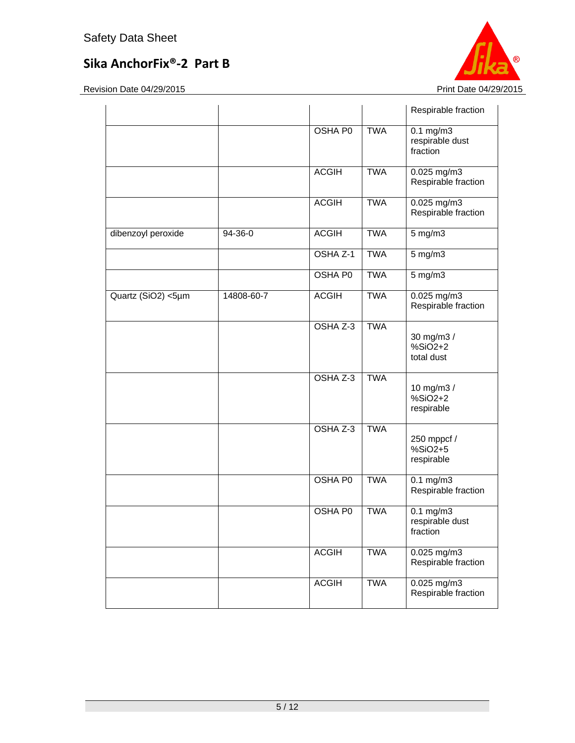

|                    |            |                |            | Respirable fraction                           |
|--------------------|------------|----------------|------------|-----------------------------------------------|
|                    |            | <b>OSHA P0</b> | <b>TWA</b> | $0.1$ mg/m $3$<br>respirable dust<br>fraction |
|                    |            | <b>ACGIH</b>   | <b>TWA</b> | 0.025 mg/m3<br>Respirable fraction            |
|                    |            | <b>ACGIH</b>   | <b>TWA</b> | 0.025 mg/m3<br>Respirable fraction            |
| dibenzoyl peroxide | 94-36-0    | <b>ACGIH</b>   | <b>TWA</b> | $5$ mg/m $3$                                  |
|                    |            | OSHA Z-1       | <b>TWA</b> | 5 mg/m3                                       |
|                    |            | OSHA P0        | <b>TWA</b> | 5 mg/m3                                       |
| Quartz (SiO2) <5µm | 14808-60-7 | <b>ACGIH</b>   | <b>TWA</b> | 0.025 mg/m3<br>Respirable fraction            |
|                    |            | OSHA Z-3       | <b>TWA</b> | 30 mg/m3 /<br>$%SiO2+2$<br>total dust         |
|                    |            | OSHA Z-3       | <b>TWA</b> | 10 mg/m3 /<br>$%SiO2+2$<br>respirable         |
|                    |            | OSHA Z-3       | <b>TWA</b> | 250 mppcf /<br>%SiO2+5<br>respirable          |
|                    |            | OSHA P0        | <b>TWA</b> | $0.1 \text{ mg/m}$<br>Respirable fraction     |
|                    |            | OSHA P0        | <b>TWA</b> | $0.1$ mg/m $3$<br>respirable dust<br>fraction |
|                    |            | <b>ACGIH</b>   | <b>TWA</b> | 0.025 mg/m3<br>Respirable fraction            |
|                    |            | <b>ACGIH</b>   | <b>TWA</b> | $0.025$ mg/m3<br>Respirable fraction          |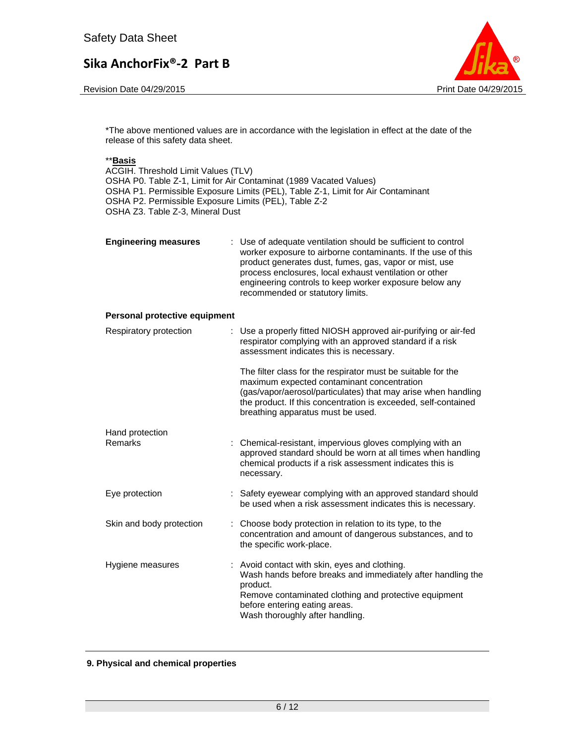Revision Date 04/29/2015 **Print Date 04/29/2015** 



\*The above mentioned values are in accordance with the legislation in effect at the date of the release of this safety data sheet.

## \*\***Basis**

ACGIH. Threshold Limit Values (TLV) OSHA P0. Table Z-1, Limit for Air Contaminat (1989 Vacated Values) OSHA P1. Permissible Exposure Limits (PEL), Table Z-1, Limit for Air Contaminant OSHA P2. Permissible Exposure Limits (PEL), Table Z-2 OSHA Z3. Table Z-3, Mineral Dust

| <b>Engineering measures</b> | : Use of adequate ventilation should be sufficient to control<br>worker exposure to airborne contaminants. If the use of this<br>product generates dust, fumes, gas, vapor or mist, use<br>process enclosures, local exhaust ventilation or other<br>engineering controls to keep worker exposure below any<br>recommended or statutory limits. |
|-----------------------------|-------------------------------------------------------------------------------------------------------------------------------------------------------------------------------------------------------------------------------------------------------------------------------------------------------------------------------------------------|
|                             |                                                                                                                                                                                                                                                                                                                                                 |

#### **Personal protective equipment**

| Respiratory protection   | : Use a properly fitted NIOSH approved air-purifying or air-fed<br>respirator complying with an approved standard if a risk<br>assessment indicates this is necessary.                                                                                                             |
|--------------------------|------------------------------------------------------------------------------------------------------------------------------------------------------------------------------------------------------------------------------------------------------------------------------------|
|                          | The filter class for the respirator must be suitable for the<br>maximum expected contaminant concentration<br>(gas/vapor/aerosol/particulates) that may arise when handling<br>the product. If this concentration is exceeded, self-contained<br>breathing apparatus must be used. |
| Hand protection          |                                                                                                                                                                                                                                                                                    |
| Remarks                  | Chemical-resistant, impervious gloves complying with an<br>approved standard should be worn at all times when handling<br>chemical products if a risk assessment indicates this is<br>necessary.                                                                                   |
| Eye protection           | : Safety eyewear complying with an approved standard should<br>be used when a risk assessment indicates this is necessary.                                                                                                                                                         |
| Skin and body protection | : Choose body protection in relation to its type, to the<br>concentration and amount of dangerous substances, and to<br>the specific work-place.                                                                                                                                   |
| Hygiene measures         | : Avoid contact with skin, eyes and clothing.<br>Wash hands before breaks and immediately after handling the<br>product.<br>Remove contaminated clothing and protective equipment<br>before entering eating areas.<br>Wash thoroughly after handling.                              |

#### **9. Physical and chemical properties**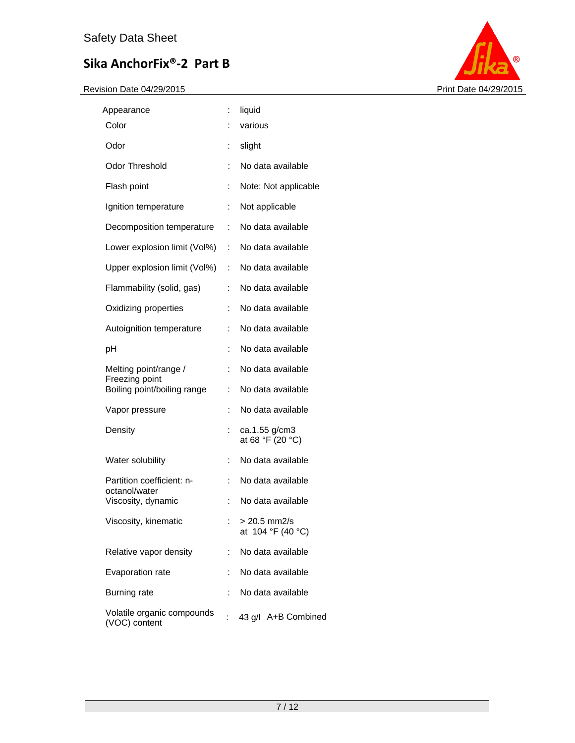

| Appearance                                    | İ. | liquid                            |
|-----------------------------------------------|----|-----------------------------------|
| Color                                         |    | various                           |
| Odor                                          | ÷  | slight                            |
| <b>Odor Threshold</b>                         | ÷  | No data available                 |
| Flash point                                   | İ. | Note: Not applicable              |
| Ignition temperature                          | ÷  | Not applicable                    |
| Decomposition temperature                     | ÷  | No data available                 |
| Lower explosion limit (Vol%)                  | ÷  | No data available                 |
| Upper explosion limit (Vol%)                  | t. | No data available                 |
| Flammability (solid, gas)                     | t  | No data available                 |
| Oxidizing properties                          | ÷  | No data available                 |
| Autoignition temperature                      | ÷  | No data available                 |
| рH                                            | ÷  | No data available                 |
| Melting point/range /                         | ÷  | No data available                 |
| Freezing point<br>Boiling point/boiling range | ÷  | No data available                 |
| Vapor pressure                                | ÷  | No data available                 |
| Density                                       | ÷  | ca.1.55 g/cm3<br>at 68 °F (20 °C) |
| Water solubility                              | ÷  | No data available                 |
| Partition coefficient: n-                     | ÷  | No data available                 |
| octanol/water<br>Viscosity, dynamic           | ÷  | No data available                 |
| Viscosity, kinematic                          |    | > 20.5 mm2/s<br>at 104 °F (40 °C) |
| Relative vapor density                        | ÷  | No data available                 |
| Evaporation rate                              | ÷  | No data available                 |
| <b>Burning rate</b>                           |    | No data available                 |
| Volatile organic compounds<br>(VOC) content   |    | 43 g/l A+B Combined               |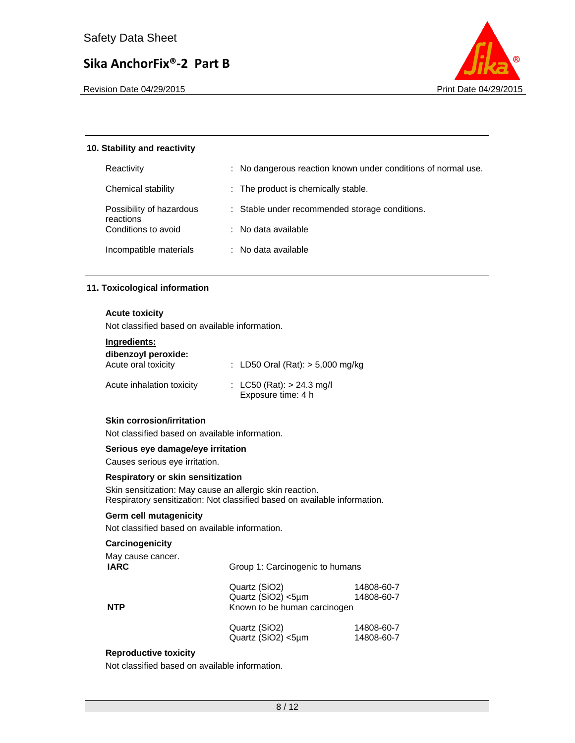

Revision Date 04/29/2015 **Print Date 04/29/2015** Print Date 04/29/2015

# **10. Stability and reactivity**

| Reactivity                       | : No dangerous reaction known under conditions of normal use. |
|----------------------------------|---------------------------------------------------------------|
| Chemical stability               | : The product is chemically stable.                           |
| Possibility of hazardous         | : Stable under recommended storage conditions.                |
| reactions<br>Conditions to avoid | : No data available                                           |
| Incompatible materials           | : No data available                                           |

# **11. Toxicological information**

# **Acute toxicity**

Not classified based on available information.

## **Ingredients:**

| dibenzoyl peroxide:<br>Acute oral toxicity | : LD50 Oral (Rat): $> 5,000$ mg/kg                |
|--------------------------------------------|---------------------------------------------------|
| Acute inhalation toxicity                  | : LC50 (Rat): $> 24.3$ mg/l<br>Exposure time: 4 h |

## **Skin corrosion/irritation**

Not classified based on available information.

# **Serious eye damage/eye irritation**

Causes serious eye irritation.

## **Respiratory or skin sensitization**

Skin sensitization: May cause an allergic skin reaction. Respiratory sensitization: Not classified based on available information.

# **Germ cell mutagenicity**

Not classified based on available information.

## **Carcinogenicity**

| May cause cancer.<br><b>IARC</b> |                                                                     | Group 1: Carcinogenic to humans |  |
|----------------------------------|---------------------------------------------------------------------|---------------------------------|--|
| <b>NTP</b>                       | Quartz (SiO2)<br>Quartz (SiO2) <5µm<br>Known to be human carcinogen | 14808-60-7<br>14808-60-7        |  |
|                                  | Quartz (SiO2)<br>Quartz (SiO2) <5µm                                 | 14808-60-7<br>14808-60-7        |  |

# **Reproductive toxicity**

Not classified based on available information.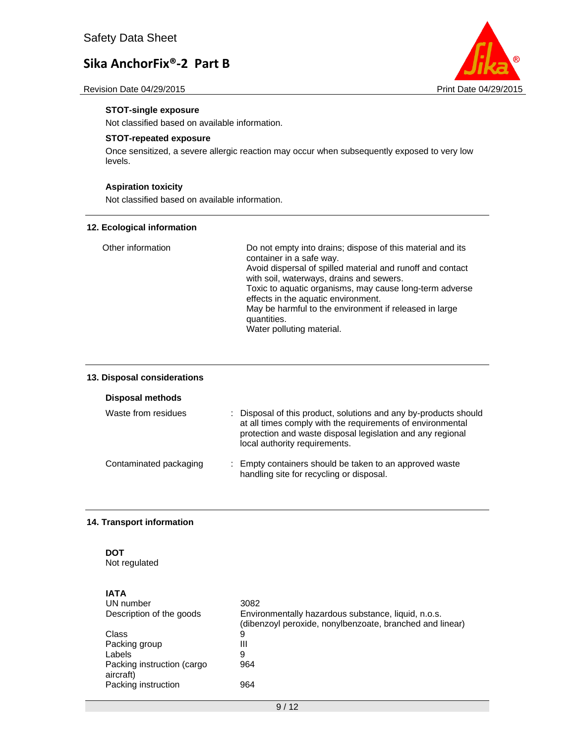



## **STOT-single exposure**

Not classified based on available information.

## **STOT-repeated exposure**

Once sensitized, a severe allergic reaction may occur when subsequently exposed to very low levels.

# **Aspiration toxicity**

Not classified based on available information.

#### **12. Ecological information**

| Other information | Do not empty into drains; dispose of this material and its<br>container in a safe way. |
|-------------------|----------------------------------------------------------------------------------------|
|                   | Avoid dispersal of spilled material and runoff and contact                             |
|                   | with soil, waterways, drains and sewers.                                               |
|                   | Toxic to aquatic organisms, may cause long-term adverse                                |
|                   | effects in the aquatic environment.                                                    |
|                   | May be harmful to the environment if released in large                                 |
|                   | quantities.                                                                            |
|                   | Water polluting material.                                                              |

## **13. Disposal considerations**

#### **Disposal methods**

| Waste from residues    | : Disposal of this product, solutions and any by-products should<br>at all times comply with the requirements of environmental<br>protection and waste disposal legislation and any regional<br>local authority requirements. |
|------------------------|-------------------------------------------------------------------------------------------------------------------------------------------------------------------------------------------------------------------------------|
| Contaminated packaging | : Empty containers should be taken to an approved waste<br>handling site for recycling or disposal.                                                                                                                           |

## **14. Transport information**

# **DOT**

Not regulated

| <b>IATA</b><br>UN number<br>Description of the goods | 3082<br>Environmentally hazardous substance, liquid, n.o.s. |
|------------------------------------------------------|-------------------------------------------------------------|
|                                                      | (dibenzoyl peroxide, nonylbenzoate, branched and linear)    |
| Class                                                | 9                                                           |
| Packing group                                        | Ш                                                           |
| Labels                                               | 9                                                           |
| Packing instruction (cargo<br>aircraft)              | 964                                                         |
| Packing instruction                                  | 964                                                         |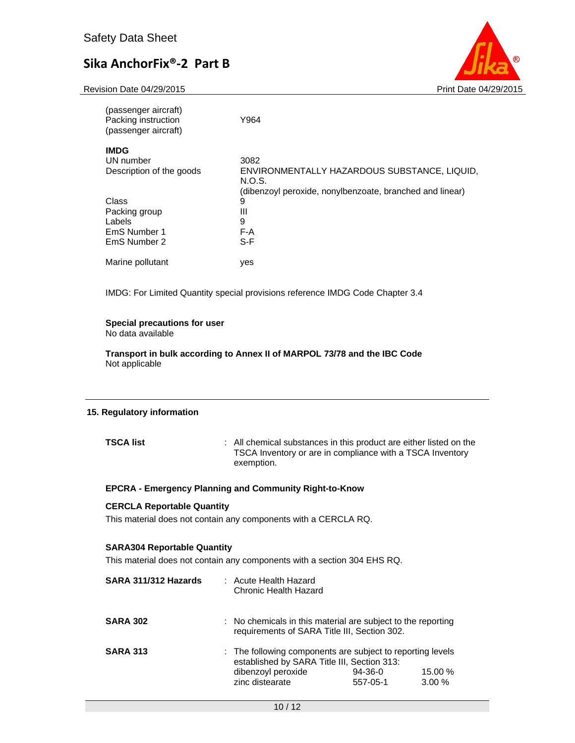Revision Date 04/29/2015 **Print Date 04/29/2015** Print Date 04/29/2015



| (passenger aircraft)<br>Packing instruction<br>(passenger aircraft) | Y964                                                     |
|---------------------------------------------------------------------|----------------------------------------------------------|
| <b>IMDG</b>                                                         |                                                          |
| UN number                                                           | 3082                                                     |
| Description of the goods                                            | ENVIRONMENTALLY HAZARDOUS SUBSTANCE, LIQUID,<br>N.O.S.   |
|                                                                     | (dibenzoyl peroxide, nonylbenzoate, branched and linear) |
| Class                                                               | 9                                                        |
| Packing group                                                       | Ш                                                        |
| Labels                                                              | 9                                                        |
| EmS Number 1                                                        | F-A                                                      |
| EmS Number 2                                                        | $S-F$                                                    |
| Marine pollutant                                                    | yes                                                      |

IMDG: For Limited Quantity special provisions reference IMDG Code Chapter 3.4

## **Special precautions for user**

No data available

**Transport in bulk according to Annex II of MARPOL 73/78 and the IBC Code**  Not applicable

## **15. Regulatory information**

**TSCA list** : All chemical substances in this product are either listed on the TSCA Inventory or are in compliance with a TSCA Inventory exemption.

## **EPCRA - Emergency Planning and Community Right-to-Know**

#### **CERCLA Reportable Quantity**

This material does not contain any components with a CERCLA RQ.

#### **SARA304 Reportable Quantity**

This material does not contain any components with a section 304 EHS RQ.

| SARA 311/312 Hazards | : Acute Health Hazard<br>Chronic Health Hazard                                                                                                     |                       |                     |
|----------------------|----------------------------------------------------------------------------------------------------------------------------------------------------|-----------------------|---------------------|
| <b>SARA 302</b>      | : No chemicals in this material are subject to the reporting<br>requirements of SARA Title III, Section 302.                                       |                       |                     |
| <b>SARA 313</b>      | : The following components are subject to reporting levels<br>established by SARA Title III, Section 313:<br>dibenzoyl peroxide<br>zinc distearate | $94-36-0$<br>557-05-1 | 15.00 %<br>$3.00\%$ |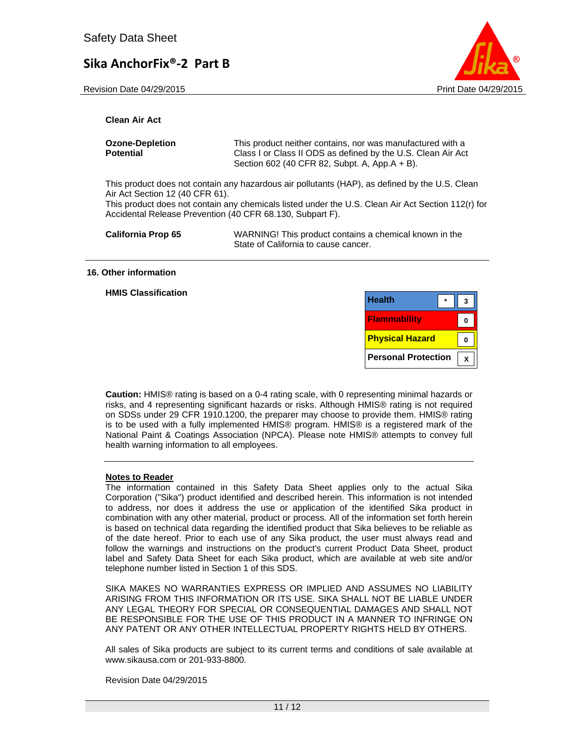Revision Date 04/29/2015 **Print Date 04/29/2015** Print Date 04/29/2015



## **Clean Air Act**

| <b>Ozone-Depletion</b> | This product neither contains, nor was manufactured with a                                                    |
|------------------------|---------------------------------------------------------------------------------------------------------------|
| Potential              | Class I or Class II ODS as defined by the U.S. Clean Air Act<br>Section 602 (40 CFR 82, Subpt. A, App.A + B). |
|                        | This product does not contain any hazardous air pollutants $(HAD)$ as defined by the LLS. Clear               |

This product does not contain any hazardous air pollutants (HAP), as defined by the U.S. Clean Air Act Section 12 (40 CFR 61).

This product does not contain any chemicals listed under the U.S. Clean Air Act Section 112(r) for Accidental Release Prevention (40 CFR 68.130, Subpart F).

**California Prop 65** WARNING! This product contains a chemical known in the State of California to cause cancer.

#### **16. Other information**

**HMIS Classification** 

| <b>Health</b>              |  |  |
|----------------------------|--|--|
| <b>Flammability</b>        |  |  |
| <b>Physical Hazard</b>     |  |  |
| <b>Personal Protection</b> |  |  |

**Caution:** HMIS® rating is based on a 0-4 rating scale, with 0 representing minimal hazards or risks, and 4 representing significant hazards or risks. Although HMIS® rating is not required on SDSs under 29 CFR 1910.1200, the preparer may choose to provide them. HMIS® rating is to be used with a fully implemented HMIS® program. HMIS® is a registered mark of the National Paint & Coatings Association (NPCA). Please note HMIS® attempts to convey full health warning information to all employees.

#### **Notes to Reader**

The information contained in this Safety Data Sheet applies only to the actual Sika Corporation ("Sika") product identified and described herein. This information is not intended to address, nor does it address the use or application of the identified Sika product in combination with any other material, product or process. All of the information set forth herein is based on technical data regarding the identified product that Sika believes to be reliable as of the date hereof. Prior to each use of any Sika product, the user must always read and follow the warnings and instructions on the product's current Product Data Sheet, product label and Safety Data Sheet for each Sika product, which are available at web site and/or telephone number listed in Section 1 of this SDS.

SIKA MAKES NO WARRANTIES EXPRESS OR IMPLIED AND ASSUMES NO LIABILITY ARISING FROM THIS INFORMATION OR ITS USE. SIKA SHALL NOT BE LIABLE UNDER ANY LEGAL THEORY FOR SPECIAL OR CONSEQUENTIAL DAMAGES AND SHALL NOT BE RESPONSIBLE FOR THE USE OF THIS PRODUCT IN A MANNER TO INFRINGE ON ANY PATENT OR ANY OTHER INTELLECTUAL PROPERTY RIGHTS HELD BY OTHERS.

All sales of Sika products are subject to its current terms and conditions of sale available at www.sikausa.com or 201-933-8800.

Revision Date 04/29/2015